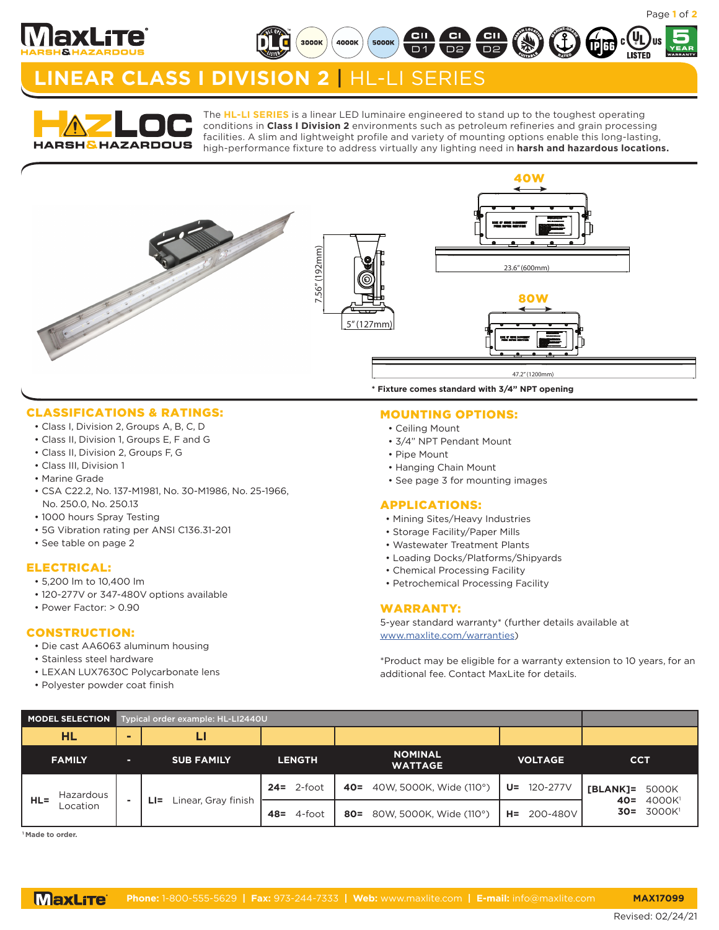

**5**

RATED **MARINE** 

# **LINEAR CLASS I DIVISION 2** | HL-LI SERIES

3000K

4000K



The **HL-LI SERIES** is a linear LED luminaire engineered to stand up to the toughest operating conditions in **Class I Division 2** environments such as petroleum refineries and grain processing facilities. A slim and lightweight profile and variety of mounting options enable this long-lasting, high-performance fixture to address virtually any lighting need in **harsh and hazardous locations.**

 $\overline{D}$ 1

**5000K** 

 $\frac{1}{10}$ 



### CLASSIFICATIONS & RATINGS:

- Class I, Division 2, Groups A, B, C, D
- Class II, Division 1, Groups E, F and G
- Class II, Division 2, Groups F, G
- Class III, Division 1
- Marine Grade
- CSA C22.2, No. 137-M1981, No. 30-M1986, No. 25-1966, No. 250.0, No. 250.13
- 1000 hours Spray Testing
- 5G Vibration rating per ANSI C136.31-201
- See table on page 2

### ELECTRICAL:

- 5,200 lm to 10,400 lm
- 120-277V or 347-480V options available
- Power Factor: > 0.90

### CONSTRUCTION:

- Die cast AA6063 aluminum housing
- Stainless steel hardware
- LEXAN LUX7630C Polycarbonate lens
- Polyester powder coat finish

### MOUNTING OPTIONS:

- Ceiling Mount
- 3/4" NPT Pendant Mount
- Pipe Mount
- Hanging Chain Mount
- See page 3 for mounting images

#### APPLICATIONS:

- Mining Sites/Heavy Industries
- Storage Facility/Paper Mills
- Wastewater Treatment Plants
- Loading Docks/Platforms/Shipyards
- Chemical Processing Facility
- Petrochemical Processing Facility

#### WARRANTY:

5-year standard warranty\* (further details available at www.maxlite.com/warranties)

\*Product may be eligible for a warranty extension to 10 years, for an additional fee. Contact MaxLite for details.

| <b>MODEL SELECTION</b>          |   | Typical order example: HL-LI2440U |                |                                   |                   |                                                                                |
|---------------------------------|---|-----------------------------------|----------------|-----------------------------------|-------------------|--------------------------------------------------------------------------------|
| HL                              |   |                                   |                |                                   |                   |                                                                                |
| <b>FAMILY</b>                   | п | <b>SUB FAMILY</b>                 | <b>LENGTH</b>  | <b>NOMINAL</b><br><b>WATTAGE</b>  | <b>VOLTAGE</b>    | <b>CCT</b>                                                                     |
| Hazardous<br>$HL =$<br>Location |   | Linear, Gray finish<br>$LI =$     | $24 = 2$ -foot | 40W, 5000K, Wide (110°)<br>$40 =$ | 120-277V<br>U=    | [BLANK]=<br>5000K<br>4000K <sup>1</sup><br>$40 =$<br>3000K <sup>1</sup><br>30= |
|                                 |   |                                   | 4-foot<br>48=  | 80W, 5000K, Wide (110°)<br>$80 =$ | 200-480V<br>$H =$ |                                                                                |

**1 Made to order.**